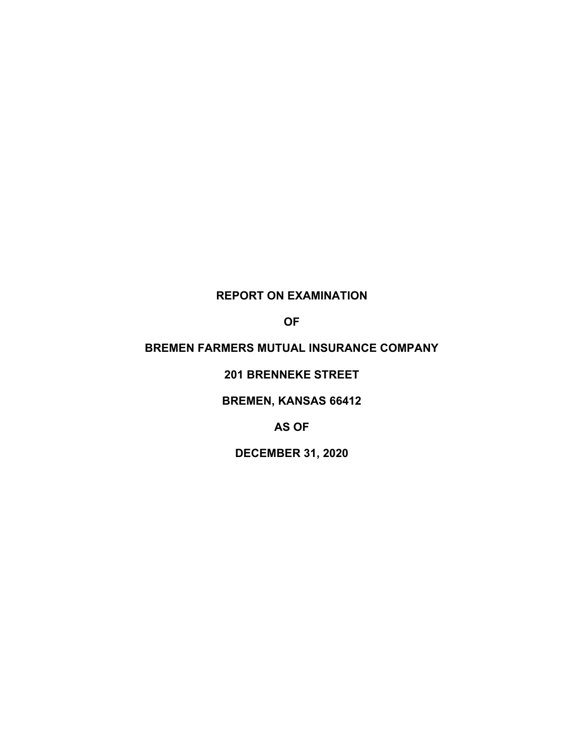# **REPORT ON EXAMINATION**

**OF**

# **BREMEN FARMERS MUTUAL INSURANCE COMPANY**

**201 BRENNEKE STREET**

**BREMEN, KANSAS 66412**

**AS OF**

**DECEMBER 31, 2020**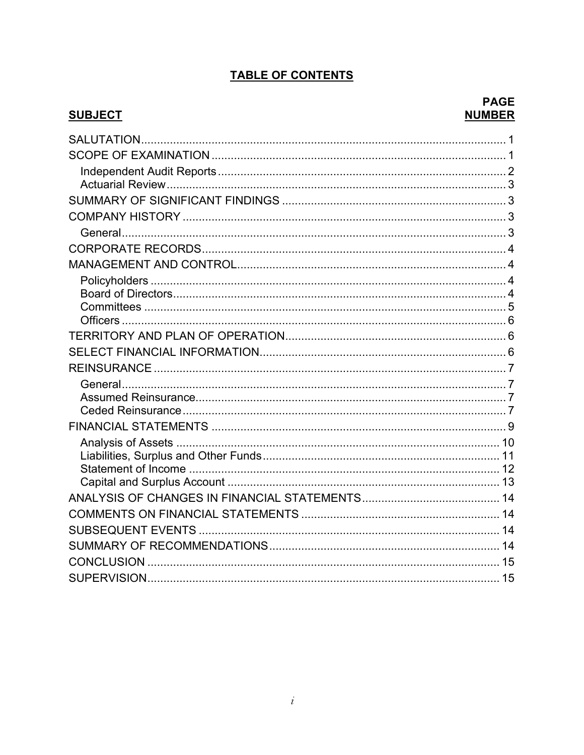# **TABLE OF CONTENTS**

## **SUBJECT**

## **PAGE NUMBER**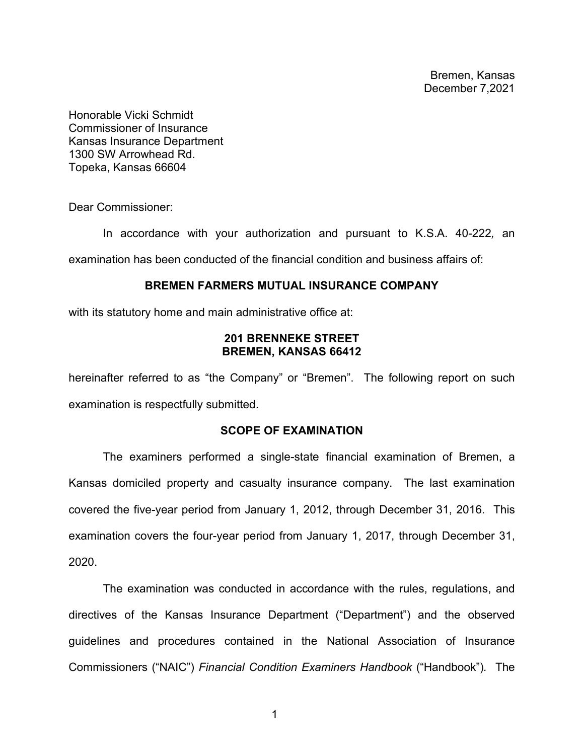Bremen, Kansas December 7,2021

Honorable Vicki Schmidt Commissioner of Insurance Kansas Insurance Department 1300 SW Arrowhead Rd. Topeka, Kansas 66604

Dear Commissioner:

In accordance with your authorization and pursuant to K.S.A. 40-222*,* an examination has been conducted of the financial condition and business affairs of:

### **BREMEN FARMERS MUTUAL INSURANCE COMPANY**

with its statutory home and main administrative office at:

## **201 BRENNEKE STREET BREMEN, KANSAS 66412**

hereinafter referred to as "the Company" or "Bremen". The following report on such examination is respectfully submitted.

## **SCOPE OF EXAMINATION**

The examiners performed a single-state financial examination of Bremen, a Kansas domiciled property and casualty insurance company. The last examination covered the five-year period from January 1, 2012, through December 31, 2016. This examination covers the four-year period from January 1, 2017, through December 31, 2020.

The examination was conducted in accordance with the rules, regulations, and directives of the Kansas Insurance Department ("Department") and the observed guidelines and procedures contained in the National Association of Insurance Commissioners ("NAIC") *Financial Condition Examiners Handbook* ("Handbook")*.* The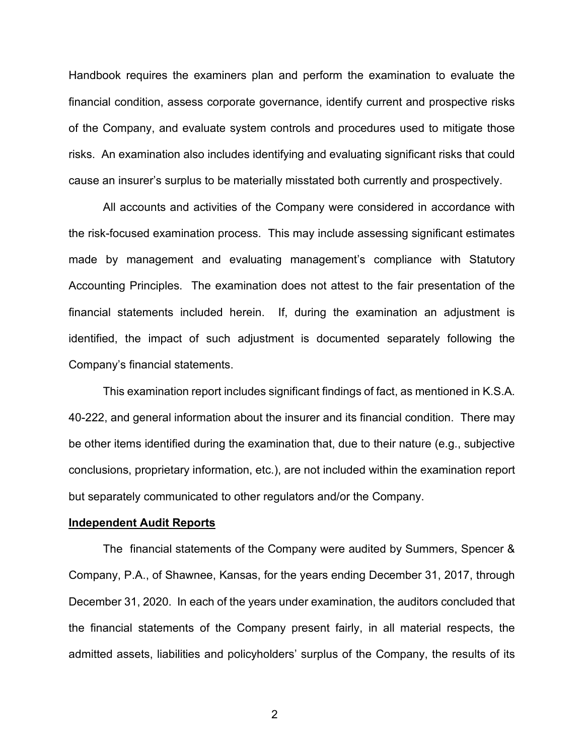Handbook requires the examiners plan and perform the examination to evaluate the financial condition, assess corporate governance, identify current and prospective risks of the Company, and evaluate system controls and procedures used to mitigate those risks. An examination also includes identifying and evaluating significant risks that could cause an insurer's surplus to be materially misstated both currently and prospectively.

All accounts and activities of the Company were considered in accordance with the risk-focused examination process. This may include assessing significant estimates made by management and evaluating management's compliance with Statutory Accounting Principles. The examination does not attest to the fair presentation of the financial statements included herein. If, during the examination an adjustment is identified, the impact of such adjustment is documented separately following the Company's financial statements.

This examination report includes significant findings of fact, as mentioned in K.S.A. 40-222, and general information about the insurer and its financial condition. There may be other items identified during the examination that, due to their nature (e.g., subjective conclusions, proprietary information, etc.), are not included within the examination report but separately communicated to other regulators and/or the Company.

#### **Independent Audit Reports**

The financial statements of the Company were audited by Summers, Spencer & Company, P.A., of Shawnee, Kansas, for the years ending December 31, 2017, through December 31, 2020. In each of the years under examination, the auditors concluded that the financial statements of the Company present fairly, in all material respects, the admitted assets, liabilities and policyholders' surplus of the Company, the results of its

2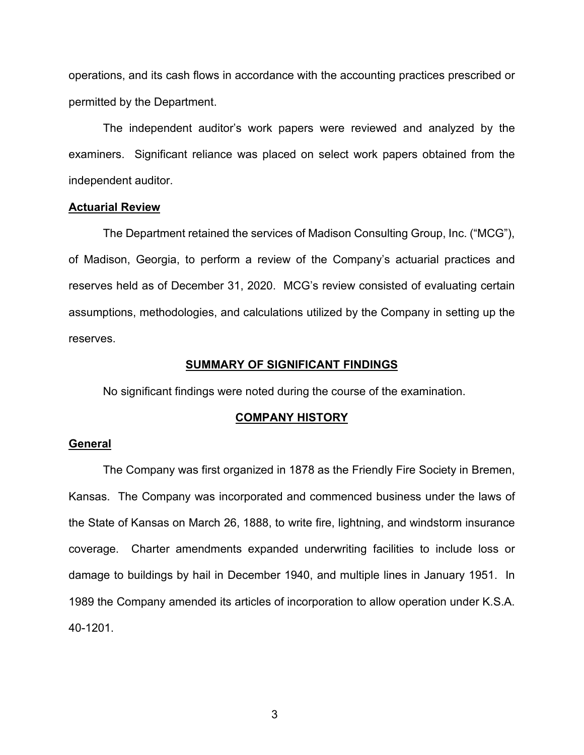operations, and its cash flows in accordance with the accounting practices prescribed or permitted by the Department.

The independent auditor's work papers were reviewed and analyzed by the examiners. Significant reliance was placed on select work papers obtained from the independent auditor.

#### **Actuarial Review**

The Department retained the services of Madison Consulting Group, Inc. ("MCG"), of Madison, Georgia, to perform a review of the Company's actuarial practices and reserves held as of December 31, 2020. MCG's review consisted of evaluating certain assumptions, methodologies, and calculations utilized by the Company in setting up the reserves.

#### **SUMMARY OF SIGNIFICANT FINDINGS**

No significant findings were noted during the course of the examination.

#### **COMPANY HISTORY**

### **General**

The Company was first organized in 1878 as the Friendly Fire Society in Bremen, Kansas. The Company was incorporated and commenced business under the laws of the State of Kansas on March 26, 1888, to write fire, lightning, and windstorm insurance coverage. Charter amendments expanded underwriting facilities to include loss or damage to buildings by hail in December 1940, and multiple lines in January 1951. In 1989 the Company amended its articles of incorporation to allow operation under K.S.A. 40-1201.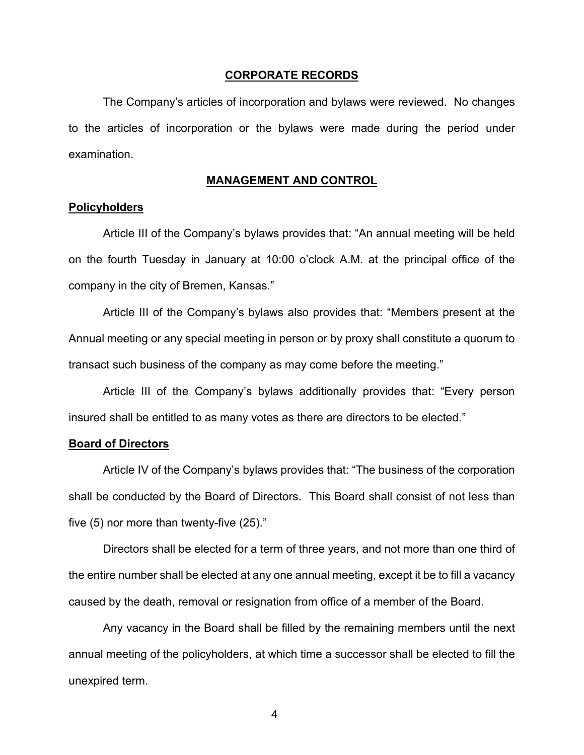#### **CORPORATE RECORDS**

The Company's articles of incorporation and bylaws were reviewed. No changes to the articles of incorporation or the bylaws were made during the period under examination.

### **MANAGEMENT AND CONTROL**

### **Policyholders**

Article III of the Company's bylaws provides that: "An annual meeting will be held on the fourth Tuesday in January at 10:00 o'clock A.M. at the principal office of the company in the city of Bremen, Kansas."

Article III of the Company's bylaws also provides that: "Members present at the Annual meeting or any special meeting in person or by proxy shall constitute a quorum to transact such business of the company as may come before the meeting."

Article III of the Company's bylaws additionally provides that: "Every person insured shall be entitled to as many votes as there are directors to be elected."

#### **Board of Directors**

Article IV of the Company's bylaws provides that: "The business of the corporation shall be conducted by the Board of Directors. This Board shall consist of not less than five (5) nor more than twenty-five (25)."

Directors shall be elected for a term of three years, and not more than one third of the entire number shall be elected at any one annual meeting, except it be to fill a vacancy caused by the death, removal or resignation from office of a member of the Board.

Any vacancy in the Board shall be filled by the remaining members until the next annual meeting of the policyholders, at which time a successor shall be elected to fill the unexpired term.

4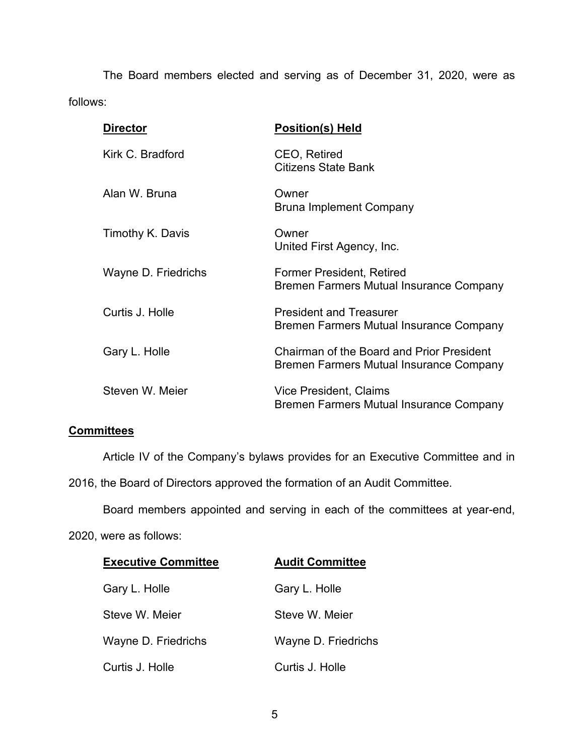The Board members elected and serving as of December 31, 2020, were as follows:

| <b>Director</b>     | <b>Position(s) Held</b>                                                                     |
|---------------------|---------------------------------------------------------------------------------------------|
| Kirk C. Bradford    | CEO, Retired<br>Citizens State Bank                                                         |
| Alan W. Bruna       | Owner<br><b>Bruna Implement Company</b>                                                     |
| Timothy K. Davis    | Owner<br>United First Agency, Inc.                                                          |
| Wayne D. Friedrichs | <b>Former President, Retired</b><br>Bremen Farmers Mutual Insurance Company                 |
| Curtis J. Holle     | <b>President and Treasurer</b><br>Bremen Farmers Mutual Insurance Company                   |
| Gary L. Holle       | <b>Chairman of the Board and Prior President</b><br>Bremen Farmers Mutual Insurance Company |
| Steven W. Meier     | Vice President, Claims<br>Bremen Farmers Mutual Insurance Company                           |

## **Committees**

Article IV of the Company's bylaws provides for an Executive Committee and in

2016, the Board of Directors approved the formation of an Audit Committee.

Board members appointed and serving in each of the committees at year-end,

## 2020, were as follows:

| <b>Executive Committee</b> | <b>Audit Committee</b> |
|----------------------------|------------------------|
| Gary L. Holle              | Gary L. Holle          |
| Steve W. Meier             | Steve W. Meier         |
| Wayne D. Friedrichs        | Wayne D. Friedrichs    |
| Curtis J. Holle            | Curtis J. Holle        |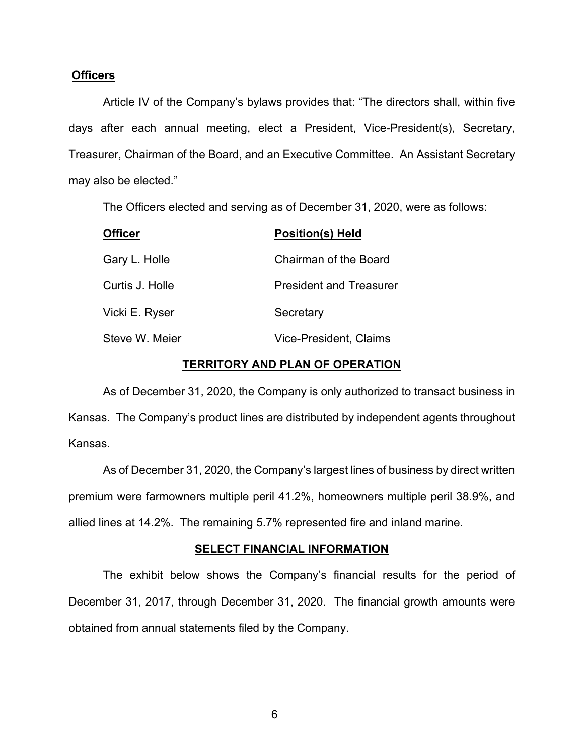### **Officers**

Article IV of the Company's bylaws provides that: "The directors shall, within five days after each annual meeting, elect a President, Vice-President(s), Secretary, Treasurer, Chairman of the Board, and an Executive Committee. An Assistant Secretary may also be elected."

The Officers elected and serving as of December 31, 2020, were as follows:

| <b>Officer</b>  | <b>Position(s) Held</b>        |
|-----------------|--------------------------------|
| Gary L. Holle   | <b>Chairman of the Board</b>   |
| Curtis J. Holle | <b>President and Treasurer</b> |
| Vicki E. Ryser  | Secretary                      |
| Steve W. Meier  | Vice-President, Claims         |

### **TERRITORY AND PLAN OF OPERATION**

As of December 31, 2020, the Company is only authorized to transact business in Kansas. The Company's product lines are distributed by independent agents throughout Kansas.

As of December 31, 2020, the Company's largest lines of business by direct written premium were farmowners multiple peril 41.2%, homeowners multiple peril 38.9%, and allied lines at 14.2%. The remaining 5.7% represented fire and inland marine.

#### **SELECT FINANCIAL INFORMATION**

The exhibit below shows the Company's financial results for the period of December 31, 2017, through December 31, 2020. The financial growth amounts were obtained from annual statements filed by the Company.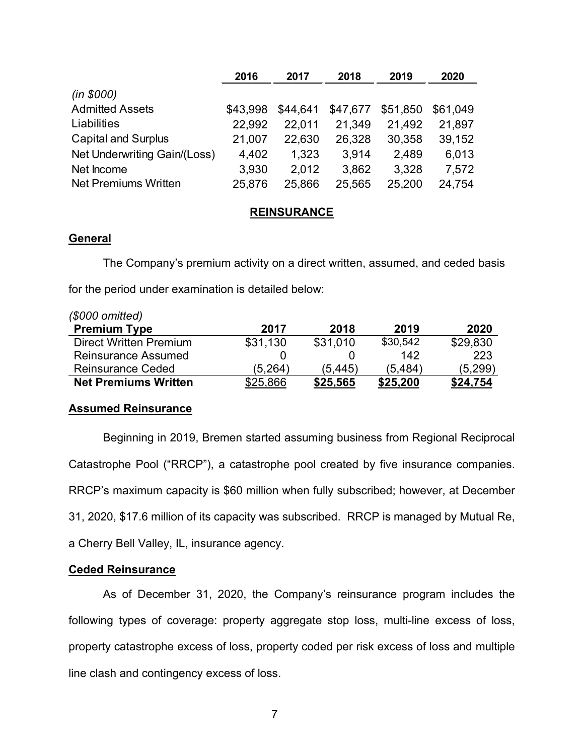|                              | 2016     | 2017     | 2018     | 2019     | 2020     |
|------------------------------|----------|----------|----------|----------|----------|
| (in \$000)                   |          |          |          |          |          |
| <b>Admitted Assets</b>       | \$43.998 | \$44,641 | \$47,677 | \$51,850 | \$61,049 |
| Liabilities                  | 22.992   | 22.011   | 21,349   | 21,492   | 21,897   |
| <b>Capital and Surplus</b>   | 21,007   | 22,630   | 26,328   | 30,358   | 39,152   |
| Net Underwriting Gain/(Loss) | 4,402    | 1,323    | 3,914    | 2,489    | 6,013    |
| Net Income                   | 3,930    | 2,012    | 3,862    | 3,328    | 7,572    |
| Net Premiums Written         | 25,876   | 25,866   | 25,565   | 25,200   | 24,754   |

## **REINSURANCE**

## **General**

The Company's premium activity on a direct written, assumed, and ceded basis for the period under examination is detailed below:

| $(S000$ omitted)              |          |          |          |          |
|-------------------------------|----------|----------|----------|----------|
| <b>Premium Type</b>           | 2017     | 2018     | 2019     | 2020     |
| <b>Direct Written Premium</b> | \$31,130 | \$31,010 | \$30,542 | \$29,830 |
| <b>Reinsurance Assumed</b>    |          |          | 142      | 223      |
| <b>Reinsurance Ceded</b>      | (5.264)  | (5.445)  | (5.484)  | (5,299)  |
| <b>Net Premiums Written</b>   | \$25,866 | \$25,565 | \$25,200 | \$24,754 |

## **Assumed Reinsurance**

Beginning in 2019, Bremen started assuming business from Regional Reciprocal Catastrophe Pool ("RRCP"), a catastrophe pool created by five insurance companies. RRCP's maximum capacity is \$60 million when fully subscribed; however, at December 31, 2020, \$17.6 million of its capacity was subscribed. RRCP is managed by Mutual Re, a Cherry Bell Valley, IL, insurance agency.

## **Ceded Reinsurance**

As of December 31, 2020, the Company's reinsurance program includes the following types of coverage: property aggregate stop loss, multi-line excess of loss, property catastrophe excess of loss, property coded per risk excess of loss and multiple line clash and contingency excess of loss.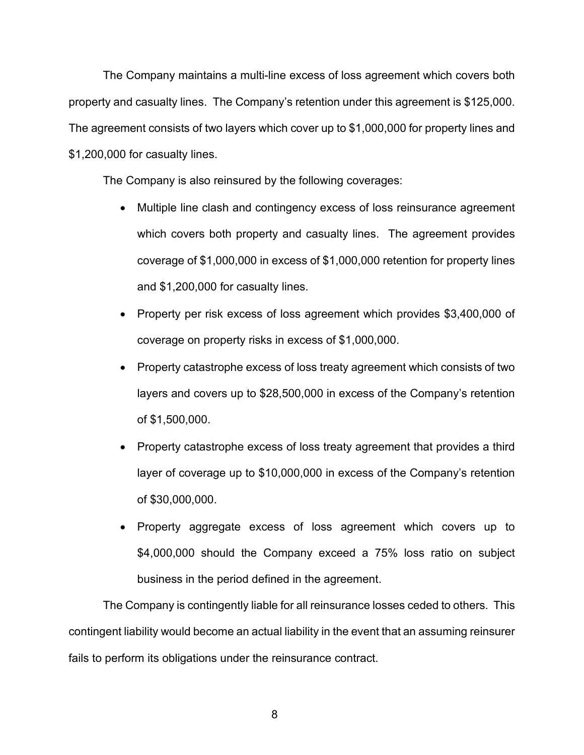The Company maintains a multi-line excess of loss agreement which covers both property and casualty lines. The Company's retention under this agreement is \$125,000. The agreement consists of two layers which cover up to \$1,000,000 for property lines and \$1,200,000 for casualty lines.

The Company is also reinsured by the following coverages:

- Multiple line clash and contingency excess of loss reinsurance agreement which covers both property and casualty lines. The agreement provides coverage of \$1,000,000 in excess of \$1,000,000 retention for property lines and \$1,200,000 for casualty lines.
- Property per risk excess of loss agreement which provides \$3,400,000 of coverage on property risks in excess of \$1,000,000.
- Property catastrophe excess of loss treaty agreement which consists of two layers and covers up to \$28,500,000 in excess of the Company's retention of \$1,500,000.
- Property catastrophe excess of loss treaty agreement that provides a third layer of coverage up to \$10,000,000 in excess of the Company's retention of \$30,000,000.
- Property aggregate excess of loss agreement which covers up to \$4,000,000 should the Company exceed a 75% loss ratio on subject business in the period defined in the agreement.

The Company is contingently liable for all reinsurance losses ceded to others. This contingent liability would become an actual liability in the event that an assuming reinsurer fails to perform its obligations under the reinsurance contract.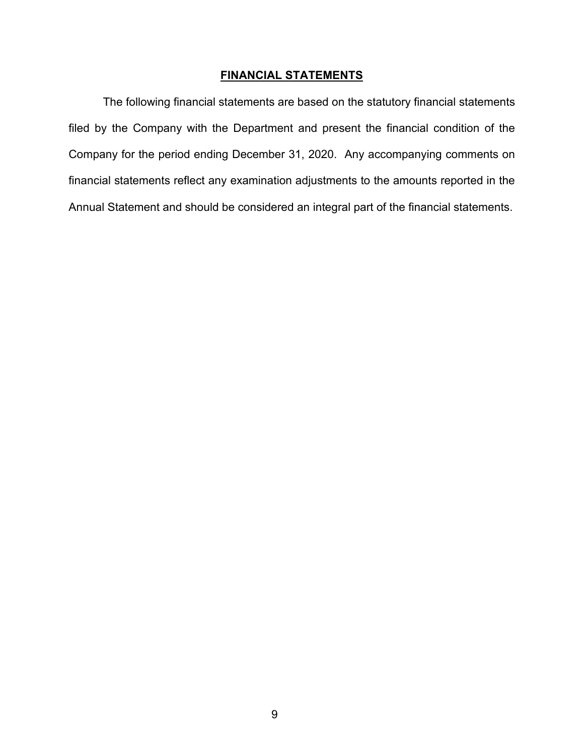## **FINANCIAL STATEMENTS**

The following financial statements are based on the statutory financial statements filed by the Company with the Department and present the financial condition of the Company for the period ending December 31, 2020. Any accompanying comments on financial statements reflect any examination adjustments to the amounts reported in the Annual Statement and should be considered an integral part of the financial statements.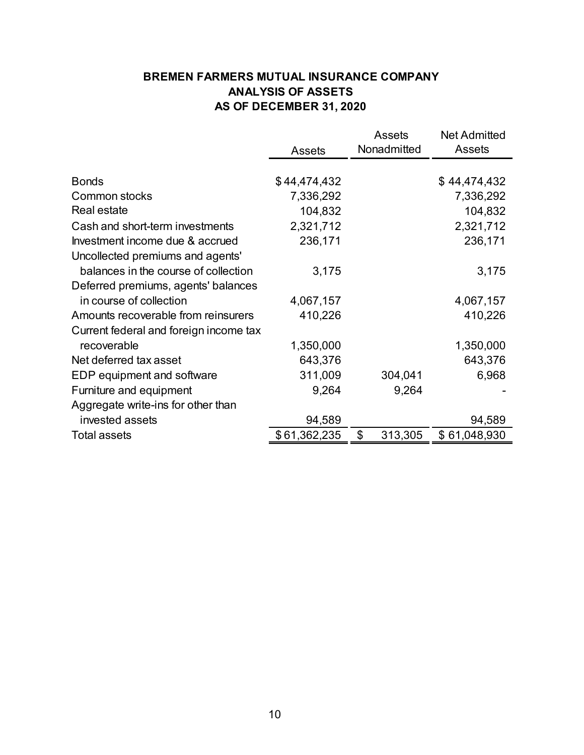# **BREMEN FARMERS MUTUAL INSURANCE COMPANY ANALYSIS OF ASSETS AS OF DECEMBER 31, 2020**

|                                        |               | <b>Assets</b> | <b>Net Admitted</b> |
|----------------------------------------|---------------|---------------|---------------------|
|                                        | <b>Assets</b> | Nonadmitted   | Assets              |
|                                        |               |               |                     |
| <b>Bonds</b>                           | \$44,474,432  |               | \$44,474,432        |
| Common stocks                          | 7,336,292     |               | 7,336,292           |
| Real estate                            | 104,832       |               | 104,832             |
| Cash and short-term investments        | 2,321,712     |               | 2,321,712           |
| Investment income due & accrued        | 236,171       |               | 236,171             |
| Uncollected premiums and agents'       |               |               |                     |
| balances in the course of collection   | 3,175         |               | 3,175               |
| Deferred premiums, agents' balances    |               |               |                     |
| in course of collection                | 4,067,157     |               | 4,067,157           |
| Amounts recoverable from reinsurers    | 410,226       |               | 410,226             |
| Current federal and foreign income tax |               |               |                     |
| recoverable                            | 1,350,000     |               | 1,350,000           |
| Net deferred tax asset                 | 643,376       |               | 643,376             |
| EDP equipment and software             | 311,009       | 304,041       | 6,968               |
| Furniture and equipment                | 9,264         | 9,264         |                     |
| Aggregate write-ins for other than     |               |               |                     |
| invested assets                        | 94,589        |               | 94,589              |
| <b>Total assets</b>                    | \$61,362,235  | \$<br>313,305 | \$61,048,930        |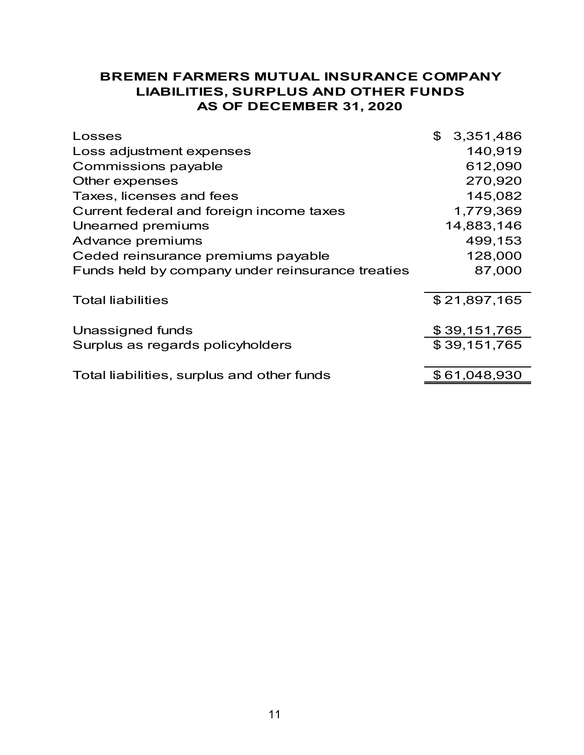# **BREMEN FARMERS MUTUAL INSURANCE COMPANY LIABILITIES, SURPLUS AND OTHER FUNDS AS OF DECEMBER 31, 2020**

| Losses                                           | \$<br>3,351,486 |
|--------------------------------------------------|-----------------|
| Loss adjustment expenses                         | 140,919         |
| Commissions payable                              | 612,090         |
| Other expenses                                   | 270,920         |
| Taxes, licenses and fees                         | 145,082         |
| Current federal and foreign income taxes         | 1,779,369       |
| Unearned premiums                                | 14,883,146      |
| Advance premiums                                 | 499,153         |
| Ceded reinsurance premiums payable               | 128,000         |
| Funds held by company under reinsurance treaties | 87,000          |
| <b>Total liabilities</b>                         | \$21,897,165    |
| Unassigned funds                                 | \$39,151,765    |
| Surplus as regards policyholders                 | \$39,151,765    |
| Total liabilities, surplus and other funds       | \$61,048,930    |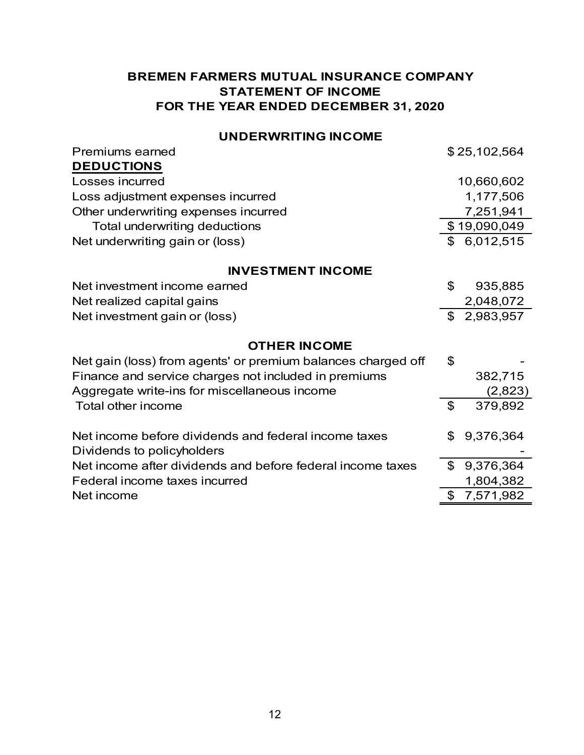# **BREMEN FARMERS MUTUAL INSURANCE COMPANY STATEMENT OF INCOME FOR THE YEAR ENDED DECEMBER 31, 2020**

## **UNDERWRITING INCOME**

| <b>Premiums earned</b>                                       | \$25,102,564    |
|--------------------------------------------------------------|-----------------|
| <b>DEDUCTIONS</b>                                            |                 |
| Losses incurred                                              | 10,660,602      |
| Loss adjustment expenses incurred                            | 1,177,506       |
| Other underwriting expenses incurred                         | 7,251,941       |
| Total underwriting deductions                                | \$19,090,049    |
| Net underwriting gain or (loss)                              | \$6,012,515     |
| <b>INVESTMENT INCOME</b>                                     |                 |
| Net investment income earned                                 | \$<br>935,885   |
| Net realized capital gains                                   | 2,048,072       |
| Net investment gain or (loss)                                | \$2,983,957     |
| <b>OTHER INCOME</b>                                          |                 |
| Net gain (loss) from agents' or premium balances charged off | \$              |
| Finance and service charges not included in premiums         | 382,715         |
| Aggregate write-ins for miscellaneous income                 | (2,823)         |
| Total other income                                           | \$<br>379,892   |
| Net income before dividends and federal income taxes         | \$<br>9,376,364 |
| Dividends to policyholders                                   |                 |
| Net income after dividends and before federal income taxes   | \$<br>9,376,364 |
| Federal income taxes incurred                                | 1,804,382       |
| Net income                                                   | \$<br>7,571,982 |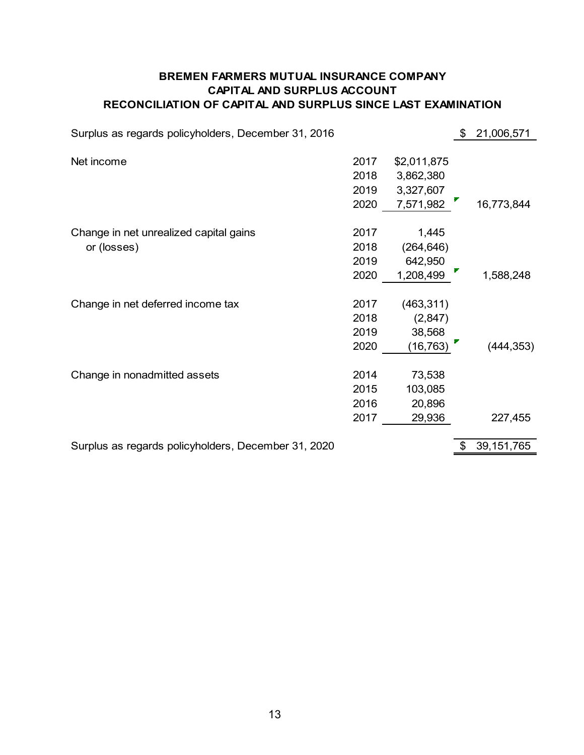## **CAPITAL AND SURPLUS ACCOUNT RECONCILIATION OF CAPITAL AND SURPLUS SINCE LAST EXAMINATION BREMEN FARMERS MUTUAL INSURANCE COMPANY**

| Surplus as regards policyholders, December 31, 2016 |      |             | \$<br>21,006,571   |
|-----------------------------------------------------|------|-------------|--------------------|
|                                                     |      |             |                    |
| Net income                                          | 2017 | \$2,011,875 |                    |
|                                                     | 2018 | 3,862,380   |                    |
|                                                     | 2019 | 3,327,607   |                    |
|                                                     | 2020 | 7,571,982   | 16,773,844         |
| Change in net unrealized capital gains              | 2017 | 1,445       |                    |
| or (losses)                                         | 2018 | (264, 646)  |                    |
|                                                     | 2019 | 642,950     |                    |
|                                                     | 2020 | 1,208,499   | 1,588,248          |
|                                                     |      |             |                    |
| Change in net deferred income tax                   | 2017 | (463, 311)  |                    |
|                                                     | 2018 | (2,847)     |                    |
|                                                     | 2019 | 38,568      |                    |
|                                                     | 2020 | (16, 763)   | (444, 353)         |
| Change in nonadmitted assets                        | 2014 | 73,538      |                    |
|                                                     | 2015 | 103,085     |                    |
|                                                     | 2016 | 20,896      |                    |
|                                                     | 2017 | 29,936      | 227,455            |
|                                                     |      |             |                    |
| Surplus as regards policyholders, December 31, 2020 |      |             | \$<br>39, 151, 765 |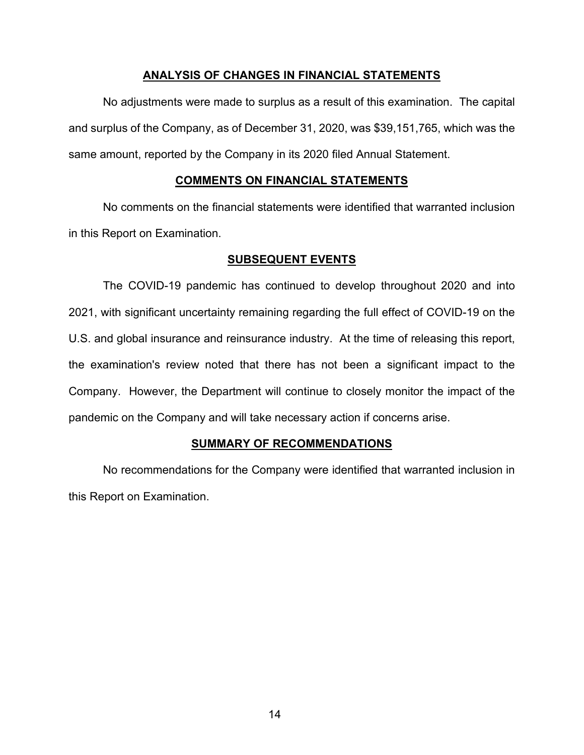## **ANALYSIS OF CHANGES IN FINANCIAL STATEMENTS**

No adjustments were made to surplus as a result of this examination. The capital and surplus of the Company, as of December 31, 2020, was \$39,151,765, which was the same amount, reported by the Company in its 2020 filed Annual Statement.

## **COMMENTS ON FINANCIAL STATEMENTS**

No comments on the financial statements were identified that warranted inclusion in this Report on Examination.

## **SUBSEQUENT EVENTS**

The COVID-19 pandemic has continued to develop throughout 2020 and into 2021, with significant uncertainty remaining regarding the full effect of COVID-19 on the U.S. and global insurance and reinsurance industry. At the time of releasing this report, the examination's review noted that there has not been a significant impact to the Company. However, the Department will continue to closely monitor the impact of the pandemic on the Company and will take necessary action if concerns arise.

## **SUMMARY OF RECOMMENDATIONS**

No recommendations for the Company were identified that warranted inclusion in this Report on Examination.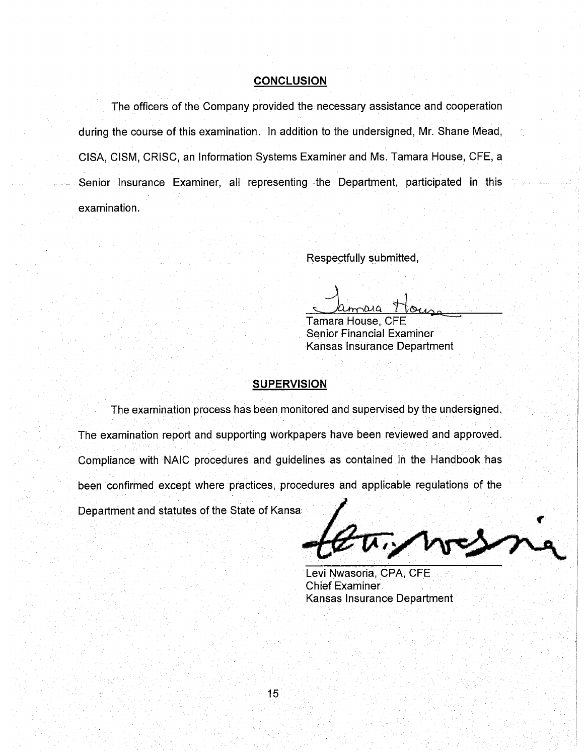#### **CONCLUSION**

The officers of the Company provided the necessary assistance and cooperation during the course of this examination. In addition to the undersigned, Mr. Shane Mead, CISA, CISM, CRISC, an Information Systems Examiner and Ms. Tamara House, CFE, a Senior Insurance Examiner, all representing the Department, participated in this examination.

Respectfully submitted,

**Tamara House, CFE Senior Financial Examiner** Kansas Insurance Department

### **SUPERVISION**

The examination process has been monitored and supervised by the undersigned. The examination report and supporting workpapers have been reviewed and approved. Compliance with NAIC procedures and guidelines as contained in the Handbook has been confirmed except where practices, procedures and applicable regulations of the

Department and statutes of the State of Kansa

Levi Nwasoria, CPA, CFE **Chief Examiner** Kansas Insurance Department